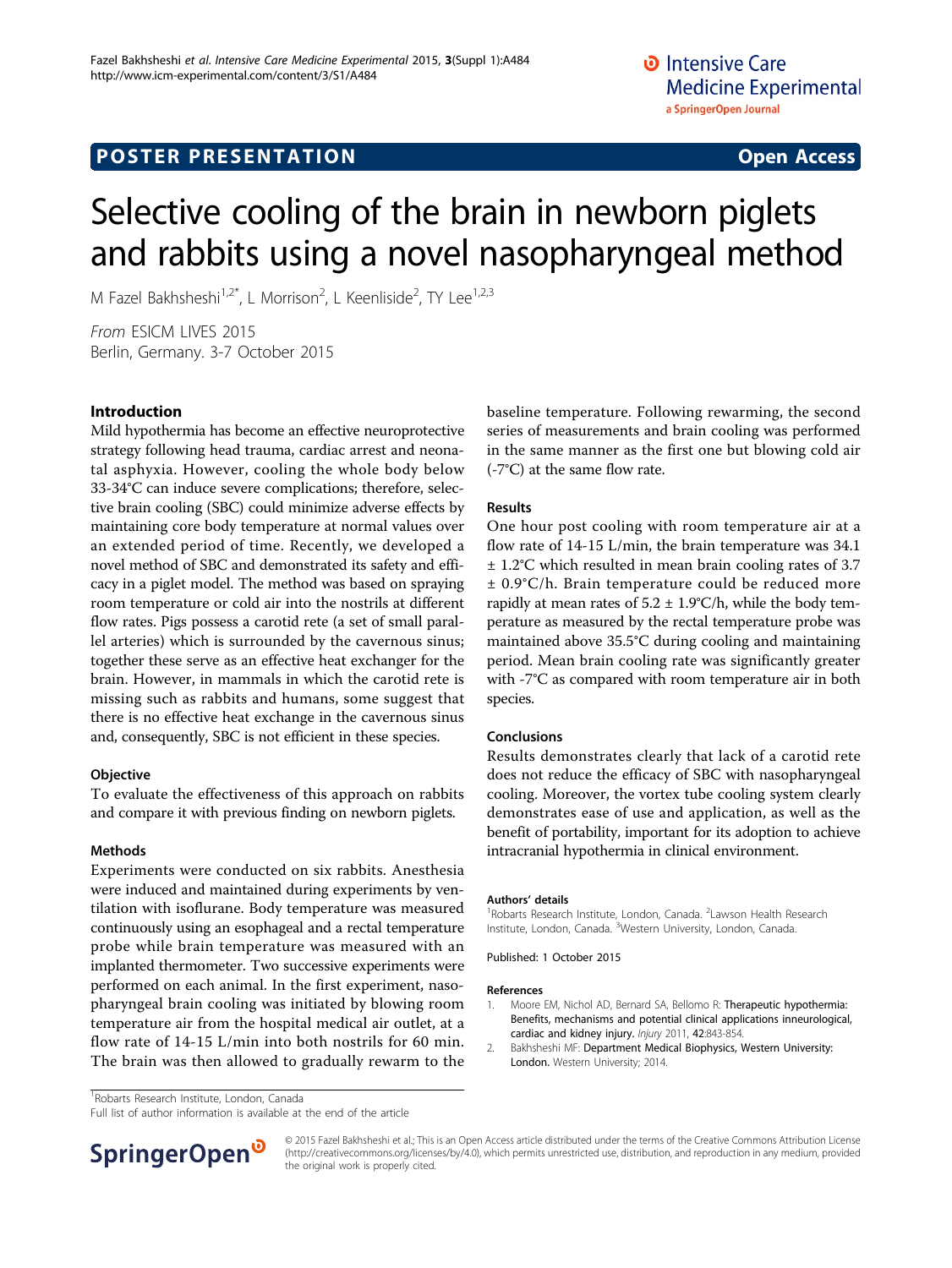# Selective cooling of the brain in newborn piglets and rabbits using a novel nasopharyngeal method

M Fazel Bakhsheshi<sup>1,2\*</sup>, L Morrison<sup>2</sup>, L Keenliside<sup>2</sup>, TY Lee<sup>1,2,3</sup>

From ESICM LIVES 2015 Berlin, Germany. 3-7 October 2015

## Introduction

Mild hypothermia has become an effective neuroprotective strategy following head trauma, cardiac arrest and neonatal asphyxia. However, cooling the whole body below 33-34°C can induce severe complications; therefore, selective brain cooling (SBC) could minimize adverse effects by maintaining core body temperature at normal values over an extended period of time. Recently, we developed a novel method of SBC and demonstrated its safety and efficacy in a piglet model. The method was based on spraying room temperature or cold air into the nostrils at different flow rates. Pigs possess a carotid rete (a set of small parallel arteries) which is surrounded by the cavernous sinus; together these serve as an effective heat exchanger for the brain. However, in mammals in which the carotid rete is missing such as rabbits and humans, some suggest that there is no effective heat exchange in the cavernous sinus and, consequently, SBC is not efficient in these species.

#### Objective

To evaluate the effectiveness of this approach on rabbits and compare it with previous finding on newborn piglets.

#### Methods

Experiments were conducted on six rabbits. Anesthesia were induced and maintained during experiments by ventilation with isoflurane. Body temperature was measured continuously using an esophageal and a rectal temperature probe while brain temperature was measured with an implanted thermometer. Two successive experiments were performed on each animal. In the first experiment, nasopharyngeal brain cooling was initiated by blowing room temperature air from the hospital medical air outlet, at a flow rate of 14-15 L/min into both nostrils for 60 min. The brain was then allowed to gradually rewarm to the baseline temperature. Following rewarming, the second series of measurements and brain cooling was performed in the same manner as the first one but blowing cold air (-7°C) at the same flow rate.

### Results

One hour post cooling with room temperature air at a flow rate of 14-15 L/min, the brain temperature was 34.1 ± 1.2°C which resulted in mean brain cooling rates of 3.7 ± 0.9°C/h. Brain temperature could be reduced more rapidly at mean rates of  $5.2 \pm 1.9$ °C/h, while the body temperature as measured by the rectal temperature probe was maintained above 35.5°C during cooling and maintaining period. Mean brain cooling rate was significantly greater with -7°C as compared with room temperature air in both species.

### Conclusions

Results demonstrates clearly that lack of a carotid rete does not reduce the efficacy of SBC with nasopharyngeal cooling. Moreover, the vortex tube cooling system clearly demonstrates ease of use and application, as well as the benefit of portability, important for its adoption to achieve intracranial hypothermia in clinical environment.

#### Authors' details <sup>1</sup>

Robarts Research Institute, London, Canada. <sup>2</sup> Lawson Health Research Institute, London, Canada. <sup>3</sup>Western University, London, Canada.

Published: 1 October 2015

#### References

- 1. Moore EM, Nichol AD, Bernard SA, Bellomo R: [Therapeutic hypothermia:](http://www.ncbi.nlm.nih.gov/pubmed/21481385?dopt=Abstract) [Benefits, mechanisms and potential clinical applications inneurological,](http://www.ncbi.nlm.nih.gov/pubmed/21481385?dopt=Abstract) [cardiac and kidney injury.](http://www.ncbi.nlm.nih.gov/pubmed/21481385?dopt=Abstract) Injury 2011, 42:843-854.
- 2. Bakhsheshi MF: Department Medical Biophysics, Western University: London. Western University; 2014.

<sup>1</sup> Robarts Research Institute, London, Canada

Full list of author information is available at the end of the article



© 2015 Fazel Bakhsheshi et al.; This is an Open Access article distributed under the terms of the Creative Commons Attribution License [\(http://creativecommons.org/licenses/by/4.0](http://creativecommons.org/licenses/by/4.0)), which permits unrestricted use, distribution, and reproduction in any medium, provided the original work is properly cited.